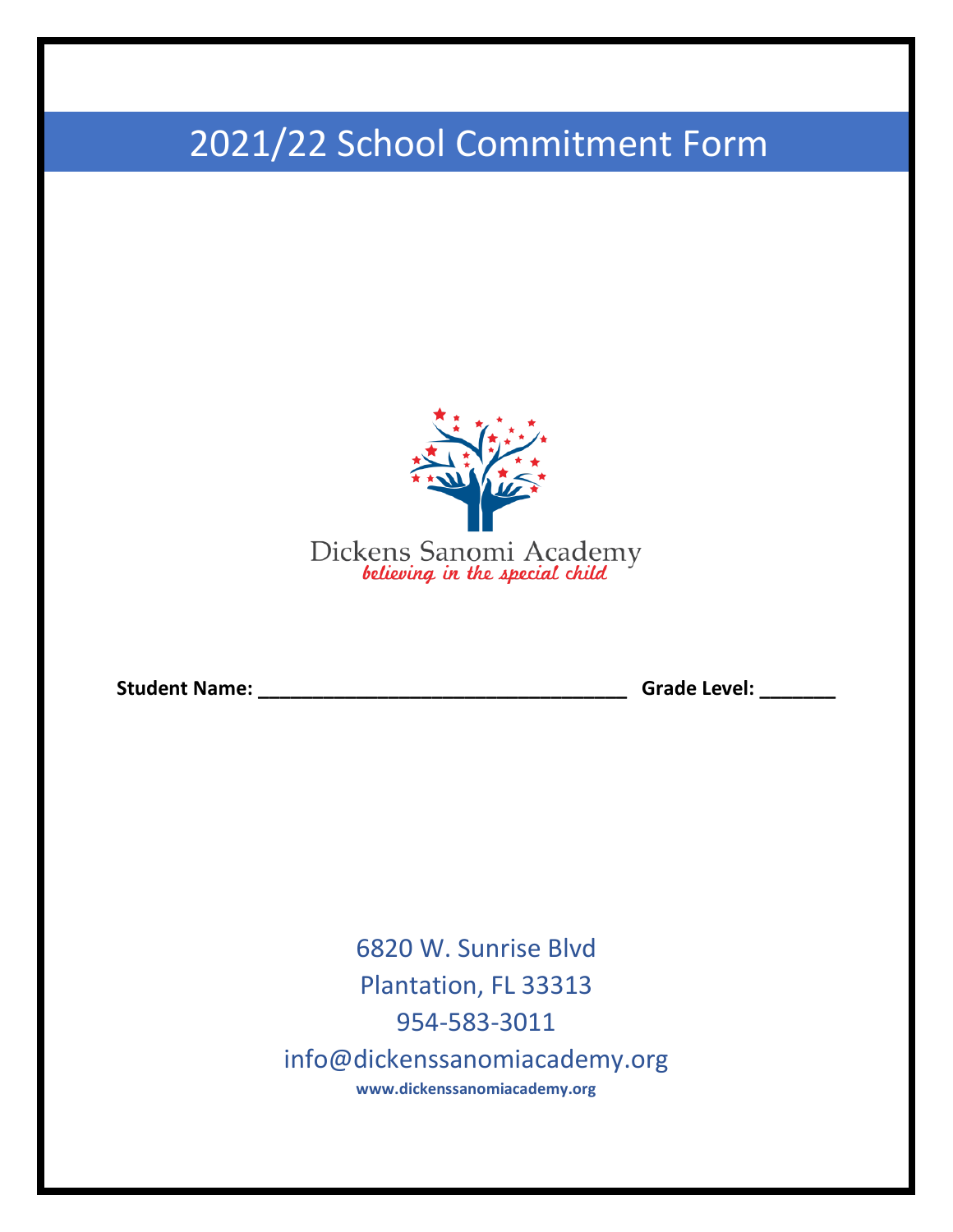## 2021/22 School Commitment Form



**Student Name: \_\_\_\_\_\_\_\_\_\_\_\_\_\_\_\_\_\_\_\_\_\_\_\_\_\_\_\_\_\_\_\_\_\_ Grade Level: \_\_\_\_\_\_\_**

6820 W. Sunrise Blvd Plantation, FL 33313 954-583-3011 info@dickenssanomiacademy.org **www.dickenssanomiacademy.org**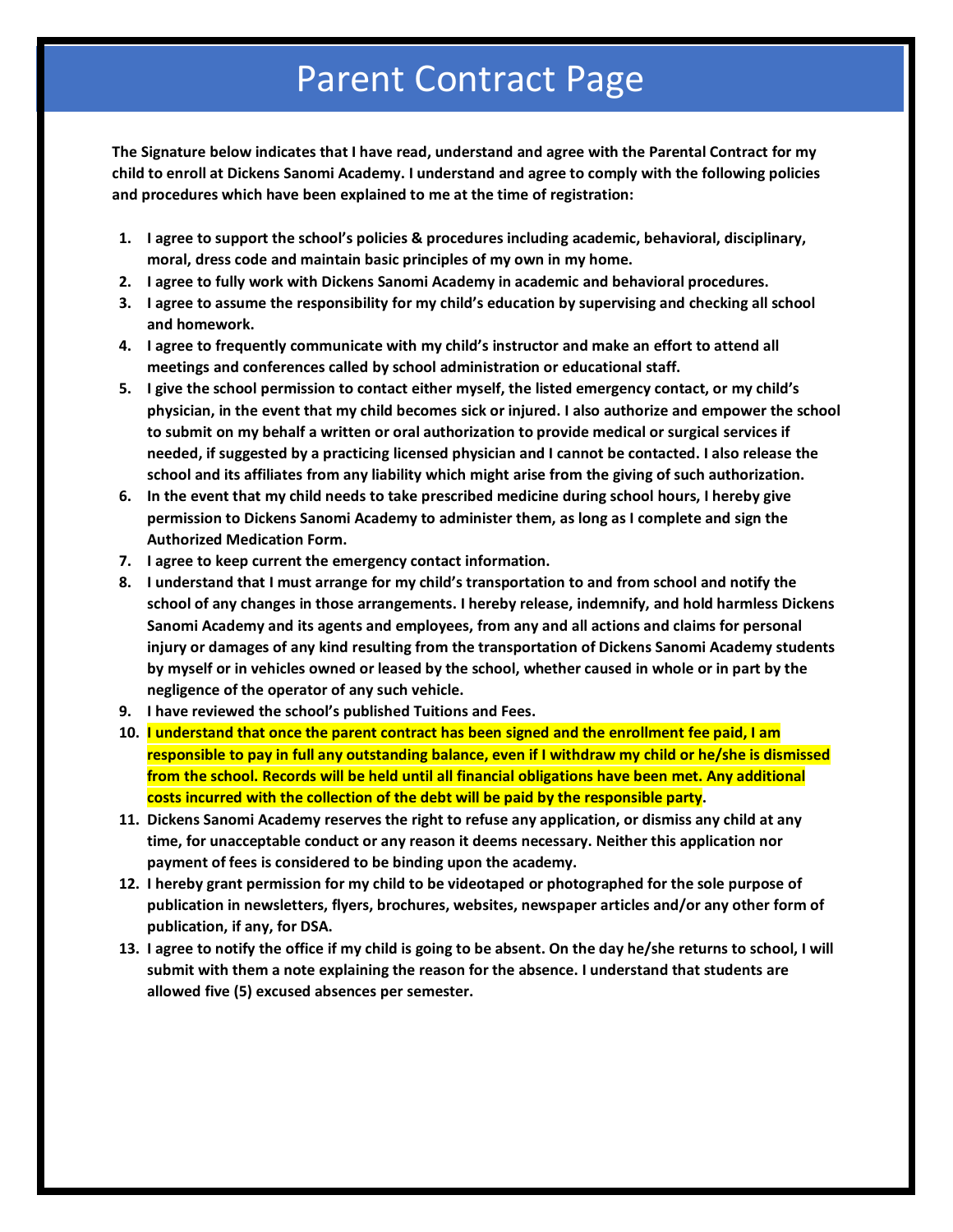## Parent Contract Page

**The Signature below indicates that I have read, understand and agree with the Parental Contract for my child to enroll at Dickens Sanomi Academy. I understand and agree to comply with the following policies and procedures which have been explained to me at the time of registration:**

- **1. I agree to support the school's policies & procedures including academic, behavioral, disciplinary, moral, dress code and maintain basic principles of my own in my home.**
- **2. I agree to fully work with Dickens Sanomi Academy in academic and behavioral procedures.**
- **3. I agree to assume the responsibility for my child's education by supervising and checking all school and homework.**
- **4. I agree to frequently communicate with my child's instructor and make an effort to attend all meetings and conferences called by school administration or educational staff.**
- **5. I give the school permission to contact either myself, the listed emergency contact, or my child's** physician, in the event that my child becomes sick or injured. I also authorize and empower the school **to submit on my behalf a written or oral authorization to provide medical or surgical services if needed, if suggested by a practicing licensed physician and I cannot be contacted. I also release the school and its affiliates from any liability which might arise from the giving of such authorization.**
- **6. In the event that my child needs to take prescribed medicine during school hours, I hereby give permission to Dickens Sanomi Academy to administer them, as long as I complete and sign the Authorized Medication Form.**
- **7. I agree to keep current the emergency contact information.**
- 8. I understand that I must arrange for my child's transportation to and from school and notify the **school of any changes in those arrangements. I hereby release, indemnify, and hold harmless Dickens Sanomi Academy and its agents and employees, from any and all actions and claims for personal injury or damages of any kind resulting from the transportation of Dickens Sanomi Academy students** by myself or in vehicles owned or leased by the school, whether caused in whole or in part by the **negligence of the operator of any such vehicle.**
- **9. I have reviewed the school's published Tuitions and Fees.**
- **10. I understand that once the parent contract has been signed and the enrollment fee paid, I am** responsible to pay in full any outstanding balance, even if I withdraw my child or he/she is dismissed **from the school. Records will be held until all financial obligations have been met. Any additional costs incurred with the collection of the debt will be paid by the responsible party.**
- **11. Dickens Sanomi Academy reserves the right to refuse any application, or dismiss any child at any time, for unacceptable conduct or any reason it deems necessary. Neither this application nor payment of fees is considered to be binding upon the academy.**
- 12. I hereby grant permission for my child to be videotaped or photographed for the sole purpose of **publication in newsletters, flyers, brochures, websites, newspaper articles and/or any other form of publication, if any, for DSA.**
- 13. I agree to notify the office if my child is going to be absent. On the day he/she returns to school, I will **submit with them a note explaining the reason for the absence. I understand that students are allowed five (5) excused absences per semester.**